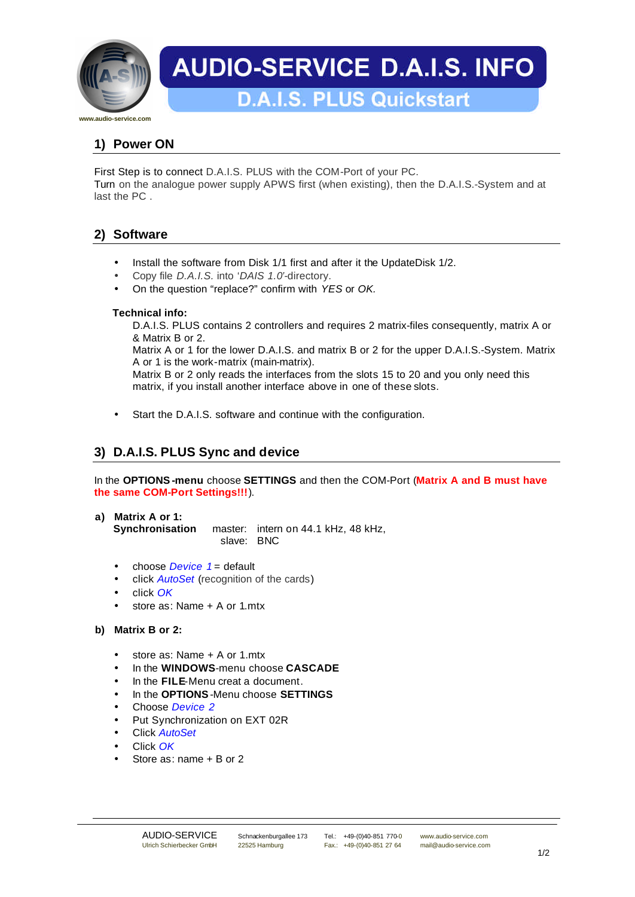

# **AUDIO-SERVICE D.A.I.S. INFO**

**D.A.I.S. PLUS Quickstart** 

# **1) Power ON**

First Step is to connect D.A.I.S. PLUS with the COM-Port of your PC. Turn on the analogue power supply APWS first (when existing), then the D.A.I.S.-System and at last the PC .

## **2) Software**

- Install the software from Disk 1/1 first and after it the UpdateDisk 1/2.
- Copy file *D.A.I.S.* into '*DAIS 1.0'*-directory.
- On the question "replace?" confirm with *YES* or *OK.*

## **Technical info:**

D.A.I.S. PLUS contains 2 controllers and requires 2 matrix-files consequently, matrix A or & Matrix B or 2.

Matrix A or 1 for the lower D.A.I.S. and matrix B or 2 for the upper D.A.I.S.-System. Matrix A or 1 is the work-matrix (main-matrix).

Matrix B or 2 only reads the interfaces from the slots 15 to 20 and you only need this matrix, if you install another interface above in one of these slots.

Start the D.A.I.S. software and continue with the configuration.

# **3) D.A.I.S. PLUS Sync and device**

In the **OPTIONS-menu** choose **SETTINGS** and then the COM-Port (**Matrix A and B must have the same COM-Port Settings!!!**).

- **a) Matrix A or 1: Synchronisation** master: intern on 44.1 kHz, 48 kHz, slave: BNC
	- choose *Device* 1 = default
	- click *AutoSet* (recognition of the cards)
	- click *OK*
	- store as: Name + A or 1.mtx

## **b) Matrix B or 2:**

- store as: Name + A or 1.mtx
- In the **WINDOWS**-menu choose **CASCADE**
- In the **FILE**-Menu creat a document.
- In the **OPTIONS**-Menu choose **SETTINGS**
- Choose *Device 2*
- Put Synchronization on EXT 02R
- Click *AutoSet*
- Click *OK*
- Store as: name + B or 2